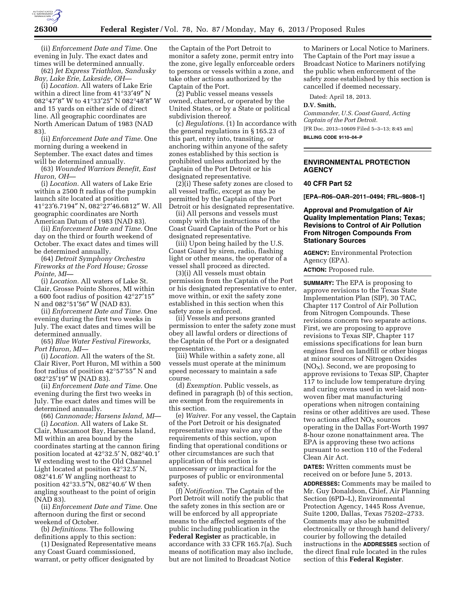

(ii) *Enforcement Date and Time.* One evening in July. The exact dates and times will be determined annually.

(62) *Jet Express Triathlon, Sandusky Bay, Lake Erie, Lakeside, OH—* 

(i) *Location.* All waters of Lake Erie within a direct line from 41°33′49″ N 082°47′8″ W to 41°33′25″ N 082°48′8″ W and 15 yards on either side of direct line. All geographic coordinates are North American Datum of 1983 (NAD 83).

(ii) *Enforcement Date and Time.* One morning during a weekend in September. The exact dates and times will be determined annually.

(63) *Wounded Warriors Benefit, East Huron, OH—* 

(i) *Location.* All waters of Lake Erie within a 2500 ft radius of the pumpkin launch site located at position 41°23′6.7194″ N, 082°27′46.6812″ W. All geographic coordinates are North American Datum of 1983 (NAD 83).

(ii) *Enforcement Date and Time.* One day on the third or fourth weekend of October. The exact dates and times will be determined annually.

(64) *Detroit Symphony Orchestra Fireworks at the Ford House; Grosse Pointe, MI—* 

(i) *Location.* All waters of Lake St. Clair, Grosse Pointe Shores, MI within a 600 foot radius of position 42°27′15″ N and 082°51′56″ W (NAD 83).

(ii) *Enforcement Date and Time.* One evening during the first two weeks in July. The exact dates and times will be determined annually.

(65) *Blue Water Festival Fireworks, Port Huron, MI—* 

(i) *Location.* All the waters of the St. Clair River, Port Huron, MI within a 500 foot radius of position 42°57′55″ N and 082°25′19″ W (NAD 83).

(ii) *Enforcement Date and Time.* One evening during the first two weeks in July. The exact dates and times will be determined annually.

(66) *Cannonade; Harsens Island, MI*— (i) *Location.* All waters of Lake St. Clair, Muscamoot Bay, Harsens Island, MI within an area bound by the coordinates starting at the cannon firing position located at 42°32.5′ N, 082°40.1′ W extending west to the Old Channel Light located at position 42°32.5′ N, 082°41.6′ W angling northeast to position 42°33.5″N, 082°40.6′ W then angling southeast to the point of origin (NAD 83).

(ii) *Enforcement Date and Time.* One afternoon during the first or second weekend of October.

(b) *Definitions.* The following definitions apply to this section:

(1) Designated Representative means any Coast Guard commissioned, warrant, or petty officer designated by

the Captain of the Port Detroit to monitor a safety zone, permit entry into the zone, give legally enforceable orders to persons or vessels within a zone, and take other actions authorized by the Captain of the Port.

(2) Public vessel means vessels owned, chartered, or operated by the United States, or by a State or political subdivision thereof.

(c) *Regulations.* (1) In accordance with the general regulations in § 165.23 of this part, entry into, transiting, or anchoring within anyone of the safety zones established by this section is prohibited unless authorized by the Captain of the Port Detroit or his designated representative.

(2)(i) These safety zones are closed to all vessel traffic, except as may be permitted by the Captain of the Port Detroit or his designated representative.

(ii) All persons and vessels must comply with the instructions of the Coast Guard Captain of the Port or his designated representative.

(iii) Upon being hailed by the U.S. Coast Guard by siren, radio, flashing light or other means, the operator of a vessel shall proceed as directed.

(3)(i) All vessels must obtain permission from the Captain of the Port or his designated representative to enter, move within, or exit the safety zone established in this section when this safety zone is enforced.

(ii) Vessels and persons granted permission to enter the safety zone must obey all lawful orders or directions of the Captain of the Port or a designated representative.

(iii) While within a safety zone, all vessels must operate at the minimum speed necessary to maintain a safe course.

(d) *Exemption.* Public vessels, as defined in paragraph (b) of this section, are exempt from the requirements in this section.

(e) *Waiver.* For any vessel, the Captain of the Port Detroit or his designated representative may waive any of the requirements of this section, upon finding that operational conditions or other circumstances are such that application of this section is unnecessary or impractical for the purposes of public or environmental safety.

(f) *Notification.* The Captain of the Port Detroit will notify the public that the safety zones in this section are or will be enforced by all appropriate means to the affected segments of the public including publication in the **Federal Register** as practicable, in accordance with 33 CFR 165.7(a). Such means of notification may also include, but are not limited to Broadcast Notice

to Mariners or Local Notice to Mariners. The Captain of the Port may issue a Broadcast Notice to Mariners notifying the public when enforcement of the safety zone established by this section is cancelled if deemed necessary.

Dated: April 18, 2013.

#### **D.V. Smith,**

*Commander, U.S. Coast Guard, Acting Captain of the Port Detroit.*  [FR Doc. 2013–10609 Filed 5–3–13; 8:45 am]

**BILLING CODE 9110–04–P** 

## **ENVIRONMENTAL PROTECTION AGENCY**

# **40 CFR Part 52**

**[EPA–R06–OAR–2011–0494; FRL–9808–1]** 

**Approval and Promulgation of Air Quality Implementation Plans; Texas; Revisions to Control of Air Pollution From Nitrogen Compounds From Stationary Sources** 

**AGENCY:** Environmental Protection Agency (EPA).

**ACTION:** Proposed rule.

**SUMMARY:** The EPA is proposing to approve revisions to the Texas State Implementation Plan (SIP), 30 TAC, Chapter 117 Control of Air Pollution from Nitrogen Compounds. These revisions concern two separate actions. First, we are proposing to approve revisions to Texas SIP, Chapter 117 emissions specifications for lean burn engines fired on landfill or other biogas at minor sources of Nitrogen Oxides  $(NO<sub>X</sub>)$ . Second, we are proposing to approve revisions to Texas SIP, Chapter 117 to include low temperature drying and curing ovens used in wet-laid nonwoven fiber mat manufacturing operations when nitrogen containing resins or other additives are used. These two actions affect  $NO<sub>x</sub>$  sources operating in the Dallas Fort-Worth 1997 8-hour ozone nonattainment area. The EPA is approving these two actions pursuant to section 110 of the Federal Clean Air Act.

**DATES:** Written comments must be received on or before June 5, 2013.

**ADDRESSES:** Comments may be mailed to Mr. Guy Donaldson, Chief, Air Planning Section (6PD–L), Environmental Protection Agency, 1445 Ross Avenue, Suite 1200, Dallas, Texas 75202–2733. Comments may also be submitted electronically or through hand delivery/ courier by following the detailed instructions in the **ADDRESSES** section of the direct final rule located in the rules section of this **Federal Register**.